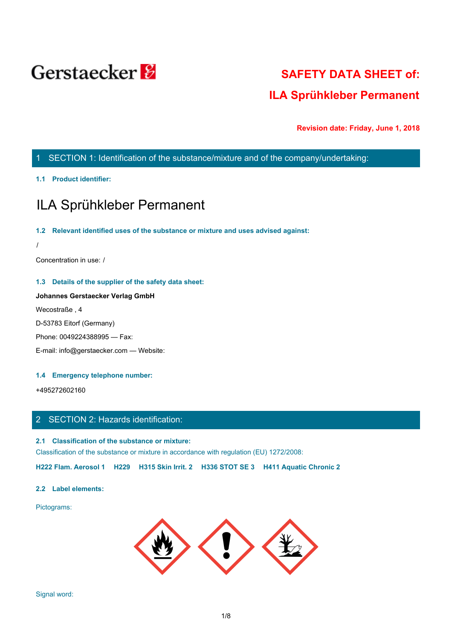

# **SAFETY DATA SHEET of: ILA Sprühkleber Permanent**

**Revision date: Friday, June 1, 2018**

# 1 SECTION 1: Identification of the substance/mixture and of the company/undertaking:

# **1.1 Product identifier:**

# ILA Sprühkleber Permanent

### **1.2 Relevant identified uses of the substance or mixture and uses advised against:**

/

Concentration in use: /

# **1.3 Details of the supplier of the safety data sheet:**

# **Johannes Gerstaecker Verlag GmbH**

Wecostraße , 4

D-53783 Eitorf (Germany)

Phone: 0049224388995 — Fax:

E-mail: info@gerstaecker.com — Website:

### **1.4 Emergency telephone number:**

+495272602160

# 2 SECTION 2: Hazards identification:

# **2.1 Classification of the substance or mixture:**

Classification of the substance or mixture in accordance with regulation (EU) 1272/2008:

**H222 Flam. Aerosol 1 H229 H315 Skin Irrit. 2 H336 STOT SE 3 H411 Aquatic Chronic 2**

# **2.2 Label elements:**

Pictograms:

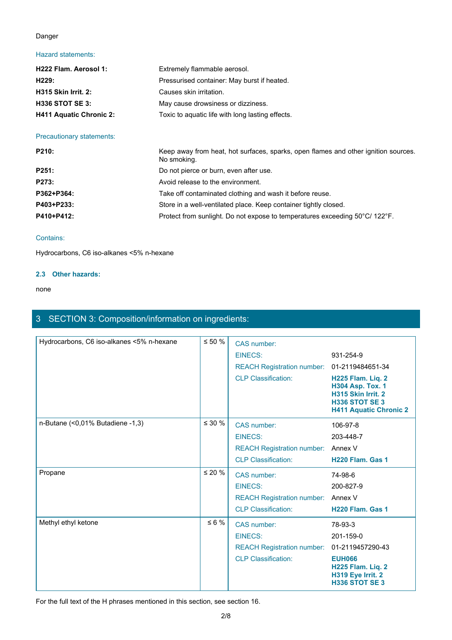# Danger

# Hazard statements:

| H222 Flam. Aerosol 1:          | Extremely flammable aerosol.                     |
|--------------------------------|--------------------------------------------------|
| H229:                          | Pressurised container: May burst if heated.      |
| <b>H315 Skin Irrit. 2:</b>     | Causes skin irritation.                          |
| <b>H336 STOT SE 3:</b>         | May cause drowsiness or dizziness.               |
| <b>H411 Aquatic Chronic 2:</b> | Toxic to aquatic life with long lasting effects. |

Precautionary statements:

| P210:      | Keep away from heat, hot surfaces, sparks, open flames and other ignition sources.<br>No smoking. |
|------------|---------------------------------------------------------------------------------------------------|
| P251:      | Do not pierce or burn, even after use.                                                            |
| P273:      | Avoid release to the environment.                                                                 |
| P362+P364: | Take off contaminated clothing and wash it before reuse.                                          |
| P403+P233: | Store in a well-ventilated place. Keep container tightly closed.                                  |
| P410+P412: | Protect from sunlight. Do not expose to temperatures exceeding 50°C/ 122°F.                       |

# Contains:

Hydrocarbons, C6 iso-alkanes <5% n-hexane

# **2.3 Other hazards:**

none and the state of the state of the state of the state of the state of the state of the state of the state of the state of the state of the state of the state of the state of the state of the state of the state of the s

# 3 SECTION 3: Composition/information on ingredients:

| Hydrocarbons, C6 iso-alkanes <5% n-hexane | $\leq 50$ %  | CAS number:                        |                                                                                                                              |
|-------------------------------------------|--------------|------------------------------------|------------------------------------------------------------------------------------------------------------------------------|
|                                           |              | <b>EINECS:</b>                     | 931-254-9                                                                                                                    |
|                                           |              | <b>REACH Registration number:</b>  | 01-2119484651-34                                                                                                             |
|                                           |              | <b>CLP Classification:</b>         | H225 Flam. Liq. 2<br><b>H304 Asp. Tox. 1</b><br>H315 Skin Irrit. 2<br><b>H336 STOT SE 3</b><br><b>H411 Aquatic Chronic 2</b> |
| n-Butane (<0,01% Butadiene -1,3)          | $\leq 30$ %  | CAS number:                        | 106-97-8                                                                                                                     |
|                                           |              | <b>EINECS:</b>                     | 203-448-7                                                                                                                    |
|                                           |              | <b>REACH Registration number:</b>  | Annex V                                                                                                                      |
|                                           |              | <b>CLP Classification:</b>         | H <sub>220</sub> Flam. Gas 1                                                                                                 |
| Propane                                   | $\leq 20 \%$ | CAS number:                        | 74-98-6                                                                                                                      |
|                                           |              | EINECS:                            | 200-827-9                                                                                                                    |
|                                           |              | REACH Registration number: Annex V |                                                                                                                              |
|                                           |              | <b>CLP Classification:</b>         | H220 Flam. Gas 1                                                                                                             |
| Methyl ethyl ketone                       | $\leq 6 \%$  | CAS number:                        | 78-93-3                                                                                                                      |
|                                           |              | <b>EINECS:</b>                     | 201-159-0                                                                                                                    |
|                                           |              | <b>REACH Registration number:</b>  | 01-2119457290-43                                                                                                             |
|                                           |              | <b>CLP Classification:</b>         | <b>EUH066</b><br>H225 Flam. Liq. 2<br>H319 Eye Irrit. 2<br><b>H336 STOT SE 3</b>                                             |
|                                           |              |                                    |                                                                                                                              |

For the full text of the H phrases mentioned in this section, see section 16.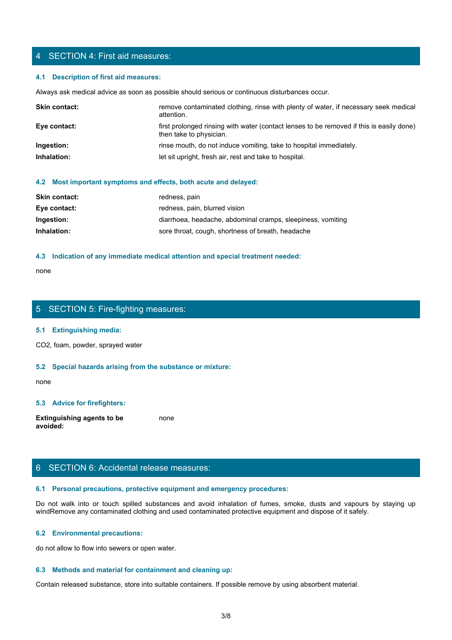# 4 SECTION 4: First aid measures:

### **4.1 Description of first aid measures:**

Always ask medical advice as soon as possible should serious or continuous disturbances occur.

| <b>Skin contact:</b> | remove contaminated clothing, rinse with plenty of water, if necessary seek medical<br>attention.                   |
|----------------------|---------------------------------------------------------------------------------------------------------------------|
| Eye contact:         | first prolonged rinsing with water (contact lenses to be removed if this is easily done)<br>then take to physician. |
| Ingestion:           | rinse mouth, do not induce vomiting, take to hospital immediately.                                                  |
| Inhalation:          | let sit upright, fresh air, rest and take to hospital.                                                              |
|                      |                                                                                                                     |

#### **4.2 Most important symptoms and effects, both acute and delayed:**

| <b>Skin contact:</b> | redness, pain                                               |
|----------------------|-------------------------------------------------------------|
| Eye contact:         | redness, pain, blurred vision                               |
| Ingestion:           | diarrhoea, headache, abdominal cramps, sleepiness, vomiting |
| Inhalation:          | sore throat, cough, shortness of breath, headache           |

### **4.3 Indication of any immediate medical attention and special treatment needed:**

none and the state of the state of the state of the state of the state of the state of the state of the state of the state of the state of the state of the state of the state of the state of the state of the state of the s

# 5 SECTION 5: Fire-fighting measures:

#### **5.1 Extinguishing media:**

CO2, foam, powder, sprayed water

### **5.2 Special hazards arising from the substance or mixture:**

none and the state of the state of the state of the state of the state of the state of the state of the state of the state of the state of the state of the state of the state of the state of the state of the state of the s

# **5.3 Advice for firefighters:**

**Extinguishing agents to be avoided:** none and the state of the state of the state of the state of the state of the state of the state of the state of the state of the state of the state of the state of the state of the state of the state of the state of the s

# 6 SECTION 6: Accidental release measures:

# **6.1 Personal precautions, protective equipment and emergency procedures:**

none<br>
S. SECTION 5: Fire-fighting measures:<br>
S. S. Special hazards arising from the substance or mixture:<br>
H. S. Special hazards arising from the substance or mixture:<br>
and avoid in the fumes, spilled substances and avoid windRemove any contaminated clothing and used contaminated protective equipment and dispose of it safely.

### **6.2 Environmental precautions:**

do not allow to flow into sewers or open water.

# **6.3 Methods and material for containment and cleaning up:**

Contain released substance, store into suitable containers. If possible remove by using absorbent material.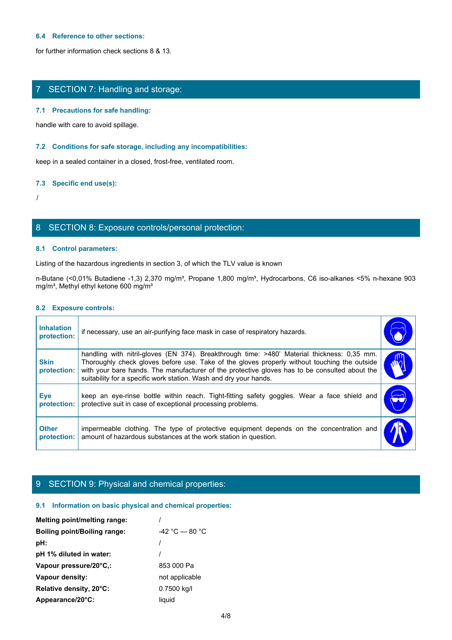### **6.4 Reference to other sections:**

for further information check sections 8 & 13.

# 7 SECTION 7: Handling and storage:

### **7.1 Precautions for safe handling:**

### **7.2 Conditions for safe storage, including any incompatibilities:**

### **7.3 Specific end use(s):**

# 8 SECTION 8: Exposure controls/personal protection:

## **8.1 Control parameters:**

# **8.2 Exposure controls:**

|                                  | handle with care to avoid spillage.                                                                                                                                                                                                                                                                                                                               |                       |
|----------------------------------|-------------------------------------------------------------------------------------------------------------------------------------------------------------------------------------------------------------------------------------------------------------------------------------------------------------------------------------------------------------------|-----------------------|
|                                  | 7.2 Conditions for safe storage, including any incompatibilities:                                                                                                                                                                                                                                                                                                 |                       |
|                                  | keep in a sealed container in a closed, frost-free, ventilated room.                                                                                                                                                                                                                                                                                              |                       |
| 7.3 Specific end use(s):         |                                                                                                                                                                                                                                                                                                                                                                   |                       |
|                                  |                                                                                                                                                                                                                                                                                                                                                                   |                       |
|                                  | 8 SECTION 8: Exposure controls/personal protection:                                                                                                                                                                                                                                                                                                               |                       |
| 8.1 Control parameters:          |                                                                                                                                                                                                                                                                                                                                                                   |                       |
|                                  | Listing of the hazardous ingredients in section 3, of which the TLV value is known                                                                                                                                                                                                                                                                                |                       |
|                                  | n-Butane (<0,01% Butadiene -1,3) 2,370 mg/m <sup>3</sup> , Propane 1,800 mg/m <sup>3</sup> , Hydrocarbons, C6 iso-alkanes <5% n-hexane 903<br>mg/m <sup>3</sup> , Methyl ethyl ketone 600 mg/m <sup>3</sup>                                                                                                                                                       |                       |
| 8.2 Exposure controls:           |                                                                                                                                                                                                                                                                                                                                                                   |                       |
| <b>Inhalation</b><br>protection: | if necessary, use an air-purifying face mask in case of respiratory hazards.                                                                                                                                                                                                                                                                                      |                       |
| <b>Skin</b><br>protection:       | handling with nitril-gloves (EN 374). Breakthrough time: >480' Material thickness: 0,35 mm.<br>Thoroughly check gloves before use. Take of the gloves properly without touching the outside<br>with your bare hands. The manufacturer of the protective gloves has to be consulted about the<br>suitability for a specific work station. Wash and dry your hands. | <b>AND</b>            |
| <b>Eye</b><br>protection:        | keep an eye-rinse bottle within reach. Tight-fitting safety goggles. Wear a face shield and<br>protective suit in case of exceptional processing problems.                                                                                                                                                                                                        | $\blacktriangleright$ |
| <b>Other</b><br>protection:      | impermeable clothing. The type of protective equipment depends on the concentration and<br>amount of hazardous substances at the work station in question.                                                                                                                                                                                                        |                       |
|                                  | 9 SECTION 9: Physical and chemical properties:                                                                                                                                                                                                                                                                                                                    |                       |

# 9 SECTION 9: Physical and chemical properties:

# **9.1 Information on basic physical and chemical properties:**

| <b>Melting point/melting range:</b> |                  |
|-------------------------------------|------------------|
| <b>Boiling point/Boiling range:</b> | $-42 °C - 80 °C$ |
| pH:                                 |                  |
| pH 1% diluted in water:             |                  |
| Vapour pressure/20°C.:              | 853 000 Pa       |
| Vapour density:                     | not applicable   |
| Relative density, 20°C:             | 0.7500 kg/l      |
| Appearance/20°C:                    | liquid           |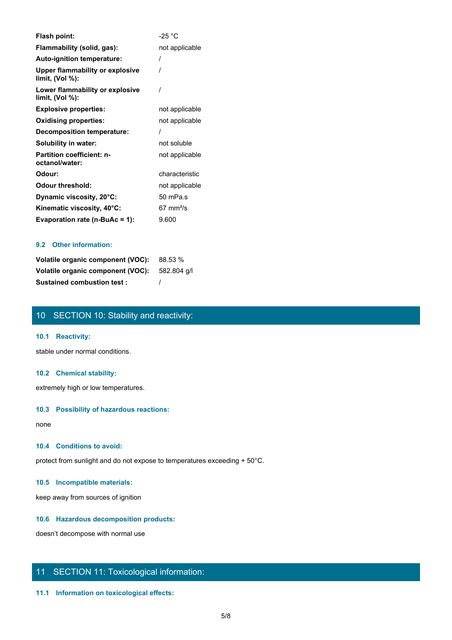| Flash point:                                                 | -25 $^{\circ}$ C     |
|--------------------------------------------------------------|----------------------|
| Flammability (solid, gas):                                   | not applicable       |
| <b>Auto-ignition temperature:</b>                            |                      |
| <b>Upper flammability or explosive</b><br>limit, $(Vol %)$ : |                      |
| Lower flammability or explosive<br>limit, (Vol %):           |                      |
| <b>Explosive properties:</b>                                 | not applicable       |
| <b>Oxidising properties:</b>                                 | not applicable       |
| <b>Decomposition temperature:</b>                            |                      |
| Solubility in water:                                         | not soluble          |
| <b>Partition coefficient: n-</b><br>octanol/water:           | not applicable       |
| Odour:                                                       | characteristic       |
| <b>Odour threshold:</b>                                      | not applicable       |
| Dynamic viscosity, 20°C:                                     | 50 mPa.s             |
| Kinematic viscosity, 40°C:                                   | $67 \text{ mm}^2$ /s |
| Evaporation rate ( $n-BuAc = 1$ ):                           | 9.600                |

# **9.2 Other information:**

| Volatile organic component (VOC): 88.53 %     |  |
|-----------------------------------------------|--|
| Volatile organic component (VOC): 582.804 q/l |  |
| <b>Sustained combustion test:</b>             |  |

# 10 SECTION 10: Stability and reactivity:

# **10.1 Reactivity:**

stable under normal conditions.

### **10.2 Chemical stability:**

extremely high or low temperatures.

### **10.3 Possibility of hazardous reactions:**

none and the state of the state of the state of the state of the state of the state of the state of the state of the state of the state of the state of the state of the state of the state of the state of the state of the s

### **10.4 Conditions to avoid:**

protect from sunlight and do not expose to temperatures exceeding + 50°C.

# **10.5 Incompatible materials:**

keep away from sources of ignition

# **10.6 Hazardous decomposition products:**

doesn't decompose with normal use

# 11 SECTION 11: Toxicological information:

# **11.1 Information on toxicological effects:**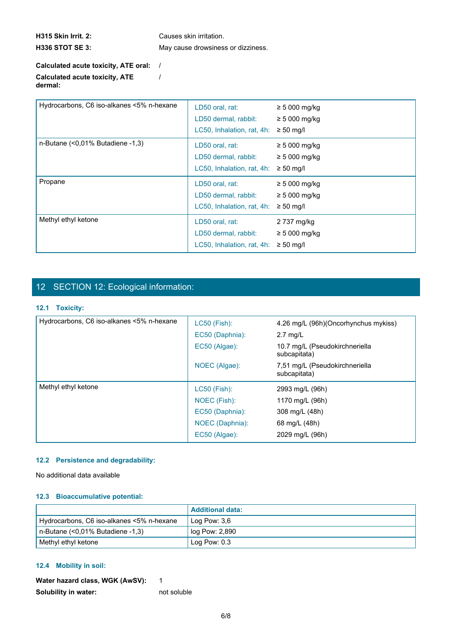**H315 Skin Irrit. 2:** Causes skin irritation. **H336 STOT SE 3:** May cause drowsiness or dizziness.

/

# **Calculated acute toxicity, ATE oral:** / **Calculated acute toxicity, ATE dermal:**

| Hydrocarbons, C6 iso-alkanes <5% n-hexane | LD50 oral, rat:<br>LD50 dermal, rabbit:<br>LC50, Inhalation, rat, 4h: | $\geq$ 5 000 mg/kg<br>$\geq$ 5 000 mg/kg<br>$\geq 50$ mg/l |
|-------------------------------------------|-----------------------------------------------------------------------|------------------------------------------------------------|
| n-Butane (<0,01% Butadiene -1,3)          | LD50 oral, rat:<br>LD50 dermal, rabbit:<br>LC50, Inhalation, rat, 4h: | $\geq$ 5 000 mg/kg<br>$\geq$ 5 000 mg/kg<br>$\geq 50$ mg/l |
| Propane                                   | LD50 oral, rat:<br>LD50 dermal, rabbit:<br>LC50, Inhalation, rat, 4h: | $\geq 5000$ mg/kg<br>$\geq$ 5 000 mg/kg<br>$\geq 50$ mg/l  |
| Methyl ethyl ketone                       | LD50 oral, rat:<br>LD50 dermal, rabbit:<br>LC50, Inhalation, rat, 4h: | 2 737 mg/kg<br>$\geq$ 5 000 mg/kg<br>$\geq 50$ mg/l        |

# 12 SECTION 12: Ecological information:

# **12.1 Toxicity:**

| Hydrocarbons, C6 iso-alkanes <5% n-hexane | LC50 (Fish):    | 4.26 mg/L (96h)(Oncorhynchus mykiss)           |  |
|-------------------------------------------|-----------------|------------------------------------------------|--|
|                                           | EC50 (Daphnia): | $2.7 \text{ mq/L}$                             |  |
|                                           | EC50 (Algae):   | 10.7 mg/L (Pseudokirchneriella<br>subcapitata) |  |
|                                           | NOEC (Algae):   | 7,51 mg/L (Pseudokirchneriella<br>subcapitata) |  |
| Methyl ethyl ketone                       | LC50 (Fish):    | 2993 mg/L (96h)                                |  |
|                                           | NOEC (Fish):    | 1170 mg/L (96h)                                |  |
|                                           | EC50 (Daphnia): | 308 mg/L (48h)                                 |  |
|                                           | NOEC (Daphnia): | 68 mg/L (48h)                                  |  |
|                                           | EC50 (Algae):   | 2029 mg/L (96h)                                |  |
|                                           |                 |                                                |  |

# **12.2 Persistence and degradability:**

No additional data available

# **12.3 Bioaccumulative potential:**

|                                           | <b>LAdditional data:</b> |
|-------------------------------------------|--------------------------|
| Hydrocarbons, C6 iso-alkanes <5% n-hexane | Log Pow: $3.6$           |
| $n$ -Butane (<0,01% Butadiene -1,3)       | log Pow: 2,890           |
| Methyl ethyl ketone                       | Log Pow: 0.3             |

# **12.4 Mobility in soil:**

| Water hazard class, WGK (AwSV): |             |
|---------------------------------|-------------|
| Solubility in water:            | not soluble |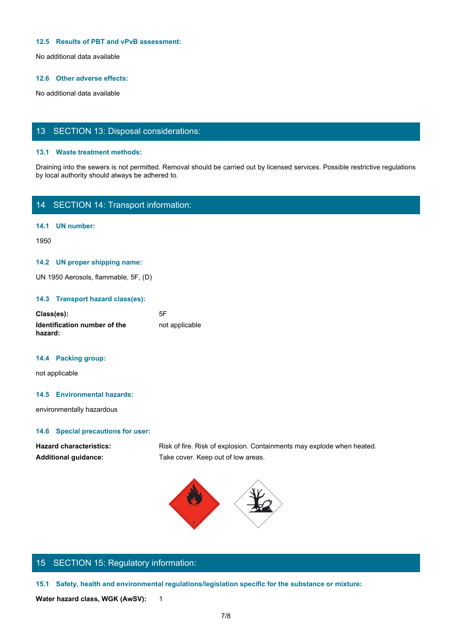### **12.5 Results of PBT and vPvB assessment:**

No additional data available

## **12.6 Other adverse effects:**

No additional data available

# 13 SECTION 13: Disposal considerations:

#### **13.1 Waste treatment methods:**

Draining into the sewers is not permitted. Removal should be carried out by licensed services. Possible restrictive regulations by local authority should always be adhered to.

# 14 SECTION 14: Transport information:

**14.1 UN number:**

1950

### **14.2 UN proper shipping name:**

UN 1950 Aerosols, flammable, 5F, (D)

## **14.3 Transport hazard class(es):**

| Class(es):                              | 5F             |
|-----------------------------------------|----------------|
| Identification number of the<br>hazard: | not applicable |

#### **14.4 Packing group:**

not applicable

# **14.5 Environmental hazards:**

environmentally hazardous

# **14.6 Special precautions for user:**

Hazard characteristics: Risk of fire. Risk of explosion. Containments may explode when heated. **Additional guidance:** Take cover. Keep out of low areas.



# 15 SECTION 15: Regulatory information:

**15.1 Safety, health and environmental regulations/legislation specific for the substance or mixture:**

Water hazard class, WGK (AwSV): 1